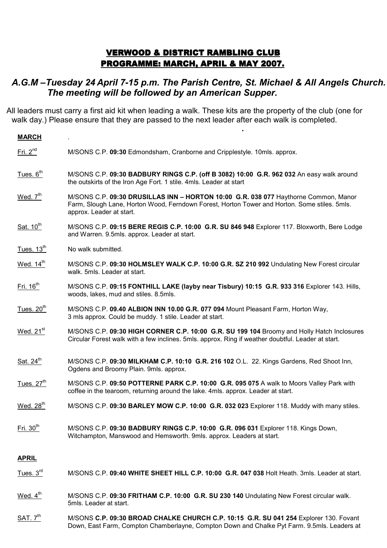## VERWOOD & DISTRICT RAMBLING CLUB PROGRAMME: MARCH, APRIL & MAY 2007.

## A.G.M –Tuesday 24 April 7-15 p.m. The Parish Centre, St. Michael & All Angels Church. The meeting will be followed by an American Supper.

All leaders must carry a first aid kit when leading a walk. These kits are the property of the club (one for walk day.) Please ensure that they are passed to the next leader after each walk is completed. <u>. Andre Stein in der Stein in der Stein in der Stein in der Stein in der Stein in der Stein in der Stein in d</u><br>Der Stein in der Stein in der Stein in der Stein in der Stein in der Stein in der Stein in der Stein in der St

| <b>MARCH</b>          |                                                                                                                                                                                                                 |
|-----------------------|-----------------------------------------------------------------------------------------------------------------------------------------------------------------------------------------------------------------|
| Fri. $2^{nd}$         | M/SONS C.P. 09:30 Edmondsham, Cranborne and Cripplestyle. 10mls. approx.                                                                                                                                        |
| Tues. 6 <sup>th</sup> | M/SONS C.P. 09:30 BADBURY RINGS C.P. (off B 3082) 10:00 G.R. 962 032 An easy walk around<br>the outskirts of the Iron Age Fort. 1 stile. 4mls. Leader at start                                                  |
| Wed. $7th$            | M/SONS C.P. 09:30 DRUSILLAS INN - HORTON 10:00 G.R. 038 077 Haythorne Common, Manor<br>Farm, Slough Lane, Horton Wood, Ferndown Forest, Horton Tower and Horton. Some stiles. 5mls.<br>approx. Leader at start. |
| Sat. 10 <sup>th</sup> | M/SONS C.P. 09:15 BERE REGIS C.P. 10:00 G.R. SU 846 948 Explorer 117. Bloxworth, Bere Lodge<br>and Warren. 9.5mls. approx. Leader at start.                                                                     |
| Tues. $13th$          | No walk submitted.                                                                                                                                                                                              |
| Wed. 14 <sup>th</sup> | M/SONS C.P. 09:30 HOLMSLEY WALK C.P. 10:00 G.R. SZ 210 992 Undulating New Forest circular<br>walk. 5mls. Leader at start.                                                                                       |
| $Fri. 16th$           | M/SONS C.P. 09:15 FONTHILL LAKE (layby near Tisbury) 10:15 G.R. 933 316 Explorer 143. Hills,<br>woods, lakes, mud and stiles. 8.5mls.                                                                           |
| Tues. $20th$          | M/SONS C.P. 09.40 ALBION INN 10.00 G.R. 077 094 Mount Pleasant Farm, Horton Way,<br>3 mls approx. Could be muddy. 1 stile. Leader at start.                                                                     |
| Wed. 21 <sup>st</sup> | M/SONS C.P. 09:30 HIGH CORNER C.P. 10:00 G.R. SU 199 104 Broomy and Holly Hatch Inclosures<br>Circular Forest walk with a few inclines. 5mls. approx. Ring if weather doubtful. Leader at start.                |
| Sat. 24 <sup>th</sup> | M/SONS C.P. 09:30 MILKHAM C.P. 10:10 G.R. 216 102 O.L. 22. Kings Gardens, Red Shoot Inn,<br>Ogdens and Broomy Plain. 9mls. approx.                                                                              |
| Tues. $27th$          | M/SONS C.P. 09:50 POTTERNE PARK C.P. 10:00 G.R. 095 075 A walk to Moors Valley Park with<br>coffee in the tearoom, returning around the lake. 4mls. approx. Leader at start.                                    |
| Wed. 28 <sup>th</sup> | M/SONS C.P. 09:30 BARLEY MOW C.P. 10:00 G.R. 032 023 Explorer 118. Muddy with many stiles.                                                                                                                      |
| Fri. 30 <sup>th</sup> | M/SONS C.P. 09:30 BADBURY RINGS C.P. 10:00 G.R. 096 031 Explorer 118. Kings Down,<br>Witchampton, Manswood and Hemsworth. 9mls. approx. Leaders at start.                                                       |
| <b>APRIL</b>          |                                                                                                                                                                                                                 |
| Tues. $3rd$           | M/SONS C.P. 09:40 WHITE SHEET HILL C.P. 10:00 G.R. 047 038 Holt Heath. 3mls. Leader at start.                                                                                                                   |
|                       |                                                                                                                                                                                                                 |

- Wed. 4<sup>th</sup> M/SONS C.P. 09:30 FRITHAM C.P. 10:00 G.R. SU 230 140 Undulating New Forest circular walk. 5mls. Leader at start.
- SAT. 7<sup>th</sup> M/SONS C.P. 09:30 BROAD CHALKE CHURCH C.P. 10:15 G.R. SU 041 254 Explorer 130. Fovant Down, East Farm, Compton Chamberlayne, Compton Down and Chalke Pyt Farm. 9.5mls. Leaders at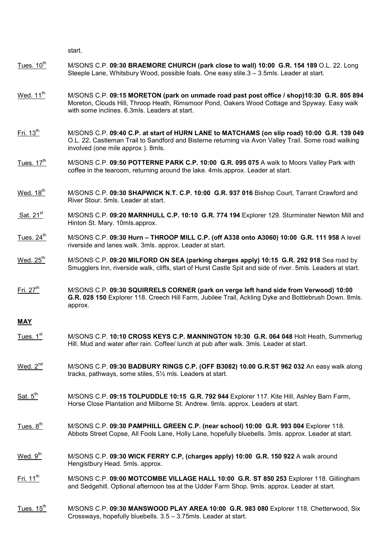start.

- Tues. 10<sup>th</sup> M/SONS C.P. 09:30 BRAEMORE CHURCH (park close to wall) 10:00 G.R. 154 189 O.L. 22. Long Steeple Lane, Whitsbury Wood, possible foals. One easy stile.3 – 3.5mls. Leader at start.
- Wed. 11<sup>th</sup> M/SONS C.P. 09:15 MORETON (park on unmade road past post office / shop)10:30 G.R. 805 894 Moreton, Clouds Hill, Throop Heath, Rimsmoor Pond, Oakers Wood Cottage and Spyway. Easy walk with some inclines. 6.3mls. Leaders at start.
- Fri. 13<sup>th</sup> M/SONS C.P. 09:40 C.P. at start of HURN LANE to MATCHAMS (on slip road) 10:00 G.R. 139 049 O.L. 22. Castleman Trail to Sandford and Bisterne returning via Avon Valley Trail. Some road walking involved (one mile approx ). 8mls.
- Tues. 17<sup>th</sup> M/SONS C.P. 09:50 POTTERNE PARK C.P. 10:00 G.R. 095 075 A walk to Moors Valley Park with coffee in the tearoom, returning around the lake. 4mls.approx. Leader at start.
- Wed. 18<sup>th</sup> M/SONS C.P. 09:30 SHAPWICK N.T. C.P. 10:00 G.R. 937 016 Bishop Court, Tarrant Crawford and River Stour. 5mls. Leader at start.
- Sat. 21<sup>st</sup> M/SONS C.P. 09:20 MARNHULL C.P. 10:10 G.R. 774 194 Explorer 129. Sturminster Newton Mill and Hinton St. Mary. 10mls.approx.
- Tues.  $24^{th}$  M/SONS C.P. 09:30 Hurn THROOP MILL C.P. (off A338 onto A3060) 10:00 G.R. 111 958 A level riverside and lanes walk. 3mls. approx. Leader at start.
- Wed.  $25<sup>th</sup>$  M/SONS C.P. 09:20 MILFORD ON SEA (parking charges apply) 10:15 G.R. 292 918 Sea road by Smugglers Inn, riverside walk, cliffs, start of Hurst Castle Spit and side of river. 5mls. Leaders at start.
- Fri. 27<sup>th</sup> M/SONS C.P. 09:30 SQUIRRELS CORNER (park on verge left hand side from Verwood) 10:00 G.R. 028 150 Explorer 118. Creech Hill Farm, Jubilee Trail, Ackling Dyke and Bottlebrush Down. 8mls. approx.

## **MAY**

- Tues. 1<sup>st</sup> M/SONS C.P. 10:10 CROSS KEYS C.P. MANNINGTON 10:30 G.R. 064 048 Holt Heath, Summerlug Hill. Mud and water after rain. Coffee/ lunch at pub after walk. 3mls. Leader at start.
- Wed.  $2^{nd}$  M/SONS C.P. 09:30 BADBURY RINGS C.P. (OFF B3082) 10.00 G.R.ST 962 032 An easy walk along tracks, pathways, some stiles, 5½ mls. Leaders at start.
- Sat. 5<sup>th</sup> M/SONS C.P. 09:15 TOLPUDDLE 10:15 G.R. 792 944 Explorer 117. Kite Hill, Ashley Barn Farm, Horse Close Plantation and Milborne St. Andrew. 9mls. approx. Leaders at start.
- Tues.  $8<sup>th</sup>$  M/SONS C.P. 09:30 PAMPHILL GREEN C.P. (near school) 10:00 G.R. 993 004 Explorer 118. Abbots Street Copse, All Fools Lane, Holly Lane, hopefully bluebells. 3mls. approx. Leader at start.
- Wed. 9<sup>th</sup> M/SONS C.P. 09:30 WICK FERRY C.P, (charges apply) 10:00 G.R. 150 922 A walk around Hengistbury Head. 5mls. approx.
- Fri. 11<sup>th</sup> M/SONS C.P. 09:00 MOTCOMBE VILLAGE HALL 10:00 G.R. ST 850 253 Explorer 118. Gillingham and Sedgehill. Optional afternoon tea at the Udder Farm Shop. 9mls. approx. Leader at start.
- Tues. 15<sup>th</sup> M/SONS C.P. 09:30 MANSWOOD PLAY AREA 10:00 G.R. 983 080 Explorer 118. Chetterwood, Six Crossways, hopefully bluebells. 3.5 – 3.75mls. Leader at start.